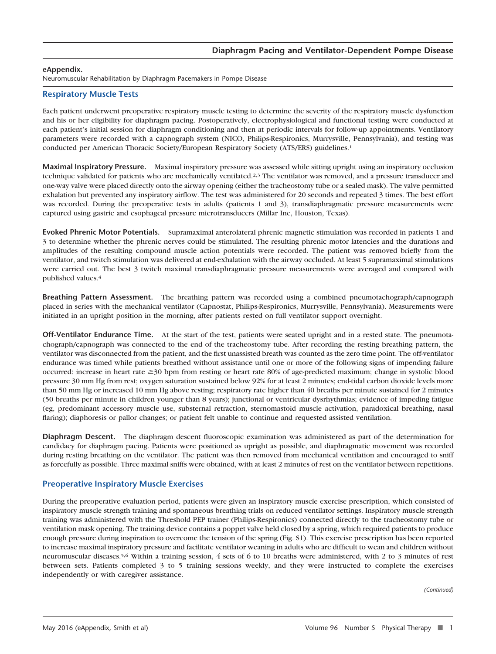Neuromuscular Rehabilitation by Diaphragm Pacemakers in Pompe Disease

## **Respiratory Muscle Tests**

Each patient underwent preoperative respiratory muscle testing to determine the severity of the respiratory muscle dysfunction and his or her eligibility for diaphragm pacing. Postoperatively, electrophysiological and functional testing were conducted at each patient's initial session for diaphragm conditioning and then at periodic intervals for follow-up appointments. Ventilatory parameters were recorded with a capnograph system (NICO, Philips-Respironics, Murrysville, Pennsylvania), and testing was conducted per American Thoracic Society/European Respiratory Society (ATS/ERS) guidelines.1

**Maximal Inspiratory Pressure.** Maximal inspiratory pressure was assessed while sitting upright using an inspiratory occlusion technique validated for patients who are mechanically ventilated.<sup>2,3</sup> The ventilator was removed, and a pressure transducer and one-way valve were placed directly onto the airway opening (either the tracheostomy tube or a sealed mask). The valve permitted exhalation but prevented any inspiratory airflow. The test was administered for 20 seconds and repeated 3 times. The best effort was recorded. During the preoperative tests in adults (patients 1 and 3), transdiaphragmatic pressure measurements were captured using gastric and esophageal pressure microtransducers (Millar Inc, Houston, Texas).

**Evoked Phrenic Motor Potentials.** Supramaximal anterolateral phrenic magnetic stimulation was recorded in patients 1 and 3 to determine whether the phrenic nerves could be stimulated. The resulting phrenic motor latencies and the durations and amplitudes of the resulting compound muscle action potentials were recorded. The patient was removed briefly from the ventilator, and twitch stimulation was delivered at end-exhalation with the airway occluded. At least 5 supramaximal stimulations were carried out. The best 3 twitch maximal transdiaphragmatic pressure measurements were averaged and compared with published values.4

**Breathing Pattern Assessment.** The breathing pattern was recorded using a combined pneumotachograph/capnograph placed in series with the mechanical ventilator (Capnostat, Philips-Respironics, Murrysville, Pennsylvania). Measurements were initiated in an upright position in the morning, after patients rested on full ventilator support overnight.

**Off-Ventilator Endurance Time.** At the start of the test, patients were seated upright and in a rested state. The pneumotachograph/capnograph was connected to the end of the tracheostomy tube. After recording the resting breathing pattern, the ventilator was disconnected from the patient, and the first unassisted breath was counted as the zero time point. The off-ventilator endurance was timed while patients breathed without assistance until one or more of the following signs of impending failure occurred: increase in heart rate ≥30 bpm from resting or heart rate 80% of age-predicted maximum; change in systolic blood pressure 30 mm Hg from rest; oxygen saturation sustained below 92% for at least 2 minutes; end-tidal carbon dioxide levels more than 50 mm Hg or increased 10 mm Hg above resting; respiratory rate higher than 40 breaths per minute sustained for 2 minutes (50 breaths per minute in children younger than 8 years); junctional or ventricular dysrhythmias; evidence of impeding fatigue (eg, predominant accessory muscle use, substernal retraction, sternomastoid muscle activation, paradoxical breathing, nasal flaring); diaphoresis or pallor changes; or patient felt unable to continue and requested assisted ventilation.

**Diaphragm Descent.** The diaphragm descent fluoroscopic examination was administered as part of the determination for candidacy for diaphragm pacing. Patients were positioned as upright as possible, and diaphragmatic movement was recorded during resting breathing on the ventilator. The patient was then removed from mechanical ventilation and encouraged to sniff as forcefully as possible. Three maximal sniffs were obtained, with at least 2 minutes of rest on the ventilator between repetitions.

## **Preoperative Inspiratory Muscle Exercises**

During the preoperative evaluation period, patients were given an inspiratory muscle exercise prescription, which consisted of inspiratory muscle strength training and spontaneous breathing trials on reduced ventilator settings. Inspiratory muscle strength training was administered with the Threshold PEP trainer (Philips-Respironics) connected directly to the tracheostomy tube or ventilation mask opening. The training device contains a poppet valve held closed by a spring, which required patients to produce enough pressure during inspiration to overcome the tension of the spring (Fig. S1). This exercise prescription has been reported to increase maximal inspiratory pressure and facilitate ventilator weaning in adults who are difficult to wean and children without neuromuscular diseases.5,6 Within a training session, 4 sets of 6 to 10 breaths were administered, with 2 to 3 minutes of rest between sets. Patients completed 3 to 5 training sessions weekly, and they were instructed to complete the exercises independently or with caregiver assistance.

*(Continued)*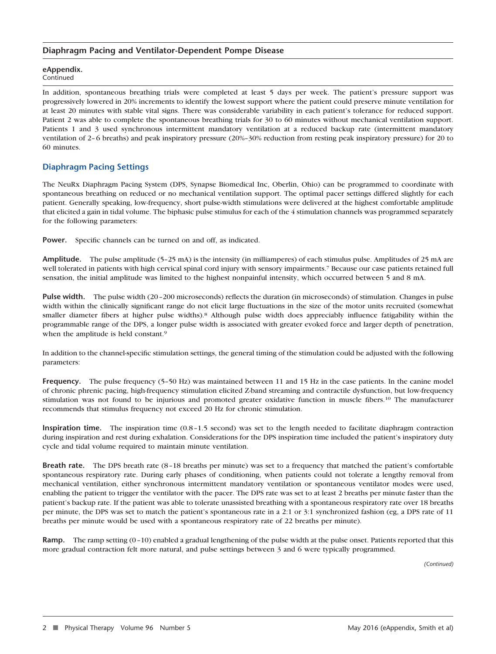## **Diaphragm Pacing and Ventilator-Dependent Pompe Disease**

# **eAppendix.**

Continued

In addition, spontaneous breathing trials were completed at least 5 days per week. The patient's pressure support was progressively lowered in 20% increments to identify the lowest support where the patient could preserve minute ventilation for at least 20 minutes with stable vital signs. There was considerable variability in each patient's tolerance for reduced support. Patient 2 was able to complete the spontaneous breathing trials for 30 to 60 minutes without mechanical ventilation support. Patients 1 and 3 used synchronous intermittent mandatory ventilation at a reduced backup rate (intermittent mandatory ventilation of 2–6 breaths) and peak inspiratory pressure (20%–30% reduction from resting peak inspiratory pressure) for 20 to 60 minutes.

# **Diaphragm Pacing Settings**

The NeuRx Diaphragm Pacing System (DPS, Synapse Biomedical Inc, Oberlin, Ohio) can be programmed to coordinate with spontaneous breathing on reduced or no mechanical ventilation support. The optimal pacer settings differed slightly for each patient. Generally speaking, low-frequency, short pulse-width stimulations were delivered at the highest comfortable amplitude that elicited a gain in tidal volume. The biphasic pulse stimulus for each of the 4 stimulation channels was programmed separately for the following parameters:

Power. Specific channels can be turned on and off, as indicated.

**Amplitude.** The pulse amplitude (5–25 mA) is the intensity (in milliamperes) of each stimulus pulse. Amplitudes of 25 mA are well tolerated in patients with high cervical spinal cord injury with sensory impairments.7 Because our case patients retained full sensation, the initial amplitude was limited to the highest nonpainful intensity, which occurred between 5 and 8 mA.

**Pulse width.** The pulse width (20–200 microseconds) reflects the duration (in microseconds) of stimulation. Changes in pulse width within the clinically significant range do not elicit large fluctuations in the size of the motor units recruited (somewhat smaller diameter fibers at higher pulse widths).8 Although pulse width does appreciably influence fatigability within the programmable range of the DPS, a longer pulse width is associated with greater evoked force and larger depth of penetration, when the amplitude is held constant.<sup>9</sup>

In addition to the channel-specific stimulation settings, the general timing of the stimulation could be adjusted with the following parameters:

**Frequency.** The pulse frequency (5-50 Hz) was maintained between 11 and 15 Hz in the case patients. In the canine model of chronic phrenic pacing, high-frequency stimulation elicited Z-band streaming and contractile dysfunction, but low-frequency stimulation was not found to be injurious and promoted greater oxidative function in muscle fibers.10 The manufacturer recommends that stimulus frequency not exceed 20 Hz for chronic stimulation.

**Inspiration time.** The inspiration time (0.8–1.5 second) was set to the length needed to facilitate diaphragm contraction during inspiration and rest during exhalation. Considerations for the DPS inspiration time included the patient's inspiratory duty cycle and tidal volume required to maintain minute ventilation.

**Breath rate.** The DPS breath rate (8–18 breaths per minute) was set to a frequency that matched the patient's comfortable spontaneous respiratory rate. During early phases of conditioning, when patients could not tolerate a lengthy removal from mechanical ventilation, either synchronous intermittent mandatory ventilation or spontaneous ventilator modes were used, enabling the patient to trigger the ventilator with the pacer. The DPS rate was set to at least 2 breaths per minute faster than the patient's backup rate. If the patient was able to tolerate unassisted breathing with a spontaneous respiratory rate over 18 breaths per minute, the DPS was set to match the patient's spontaneous rate in a 2:1 or 3:1 synchronized fashion (eg, a DPS rate of 11 breaths per minute would be used with a spontaneous respiratory rate of 22 breaths per minute).

**Ramp.** The ramp setting (0–10) enabled a gradual lengthening of the pulse width at the pulse onset. Patients reported that this more gradual contraction felt more natural, and pulse settings between 3 and 6 were typically programmed.

*(Continued)*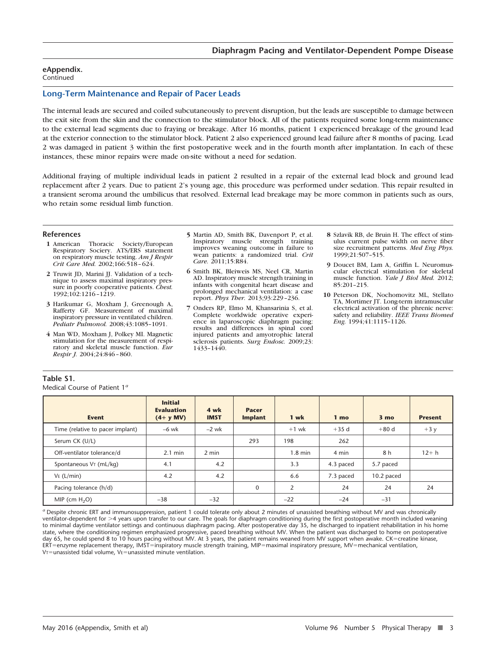Continued

## **Long-Term Maintenance and Repair of Pacer Leads**

The internal leads are secured and coiled subcutaneously to prevent disruption, but the leads are susceptible to damage between the exit site from the skin and the connection to the stimulator block. All of the patients required some long-term maintenance to the external lead segments due to fraying or breakage. After 16 months, patient 1 experienced breakage of the ground lead at the exterior connection to the stimulator block. Patient 2 also experienced ground lead failure after 8 months of pacing. Lead 2 was damaged in patient 3 within the first postoperative week and in the fourth month after implantation. In each of these instances, these minor repairs were made on-site without a need for sedation.

Additional fraying of multiple individual leads in patient 2 resulted in a repair of the external lead block and ground lead replacement after 2 years. Due to patient 2's young age, this procedure was performed under sedation. This repair resulted in a transient seroma around the umbilicus that resolved. External lead breakage may be more common in patients such as ours, who retain some residual limb function.

#### **References**

**Table S1.**

- **1** American Thoracic Society/European Respiratory Sociery. ATS/ERS statement on respiratory muscle testing. *Am J Respir Crit Care Med.* 2002;166:518–624.
- **2** Truwit JD, Marini JJ. Validation of a technique to assess maximal inspiratory pressure in poorly cooperative patients. *Chest.* 1992;102:1216–1219.
- **3** Harikumar G, Moxham J, Greenough A, Rafferty GF. Measurement of maximal inspiratory pressure in ventilated children. *Pediatr Pulmonol.* 2008;43:1085–1091.
- **4** Man WD, Moxham J, Polkey MI. Magnetic stimulation for the measurement of respiratory and skeletal muscle function. *Eur Respir J.* 2004;24:846–860.
- **5** Martin AD, Smith BK, Davenport P, et al. Inspiratory muscle strength training improves weaning outcome in failure to wean patients: a randomized trial. *Crit Care.* 2011;15:R84.
- **6** Smith BK, Bleiweis MS, Neel CR, Martin AD. Inspiratory muscle strength training in infants with congenital heart disease and prolonged mechanical ventilation: a case report. *Phys Ther.* 2013;93:229–236.
- **7** Onders RP, Elmo M, Khansarinia S, et al. Complete worldwide operative experience in laparoscopic diaphragm pacing: results and differences in spinal cord injured patients and amyotrophic lateral sclerosis patients. *Surg Endosc.* 2009;23: 1433–1440.
- **8** Szlavik RB, de Bruin H. The effect of stimulus current pulse width on nerve fiber size recruitment patterns. *Med Eng Phys.* 1999;21:507–515.
- **9** Doucet BM, Lam A, Griffin L. Neuromuscular electrical stimulation for skeletal muscle function. *Yale J Biol Med.* 2012; 85:201–215.
- **10** Peterson DK, Nochomovitz ML, Stellato TA, Mortimer JT. Long-term intramuscular electrical activation of the phrenic nerve: safety and reliability. *IEEE Trans Biomed Eng.* 1994;41:1115–1126.

| Medical Course of Patient 1 <sup>a</sup> |                                                     |                     |                                |           |                 |                 |                |  |
|------------------------------------------|-----------------------------------------------------|---------------------|--------------------------------|-----------|-----------------|-----------------|----------------|--|
| <b>Event</b>                             | <b>Initial</b><br><b>Evaluation</b><br>$(4 + y MV)$ | 4 wk<br><b>IMST</b> | <b>Pacer</b><br><b>Implant</b> | 1 wk      | 1 <sub>mo</sub> | 3 <sub>mo</sub> | <b>Present</b> |  |
| Time (relative to pacer implant)         | $-6$ wk                                             | $-2$ wk             |                                | $+1$ wk   | $+35d$          | $+80d$          | $+3y$          |  |
| Serum CK (U/L)                           |                                                     |                     | 293                            | 198       | 262             |                 |                |  |
| Off-ventilator tolerance/d               | $2.1 \text{ min}$                                   | $2$ min             |                                | $1.8$ min | 4 min           | 8 h             | $12 + h$       |  |
| Spontaneous VT (mL/kg)                   | 4.1                                                 | 4.2                 |                                | 3.3       | 4.3 paced       | 5.7 paced       |                |  |
| $V_E$ (L/min)                            | 4.2                                                 | 4.2                 |                                | 6.6       | 7.3 paced       | 10.2 paced      |                |  |
| Pacing tolerance (h/d)                   |                                                     |                     | 0                              | 2         | 24              | 24              | 24             |  |
| MIP (cm $H_2O$ )                         | $-38$                                               | $-32$               |                                | $-22$     | $-24$           | $-31$           |                |  |

*<sup>a</sup>* Despite chronic ERT and immunosuppression, patient 1 could tolerate only about 2 minutes of unassisted breathing without MV and was chronically ventilator-dependent for >4 years upon transfer to our care. The goals for diaphragm conditioning during the first postoperative month included weaning to minimal daytime ventilator settings and continuous diaphragm pacing. After postoperative day 35, he discharged to inpatient rehabilitation in his home state, where the conditioning regimen emphasized progressive, paced breathing without MV. When the patient was discharged to home on postoperative<br>day 65, he could spend 8 to 10 hours pacing without MV. At 3 years, the pat ERT=enzyme replacement therapy, IMST=inspiratory muscle strength training, MIP=maximal inspiratory pressure, MV=mechanical ventilation,  $V$ T=unassisted tidal volume, VE=unassisted minute ventilation.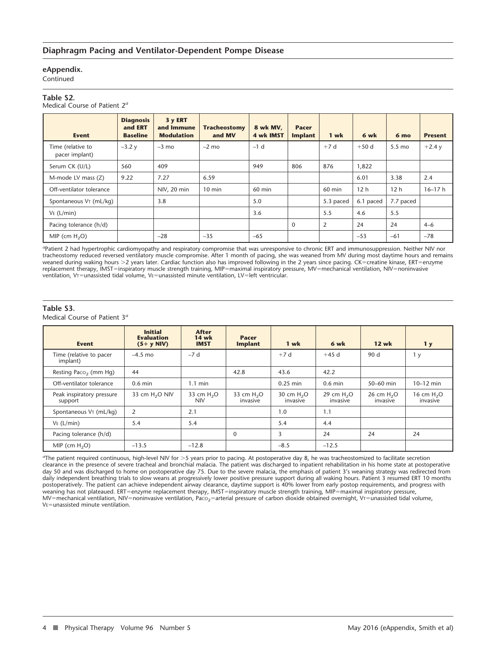Continued

### **Table S2.**

Medical Course of Patient 2*<sup>a</sup>*

| <b>Event</b>                        | <b>Diagnosis</b><br>and <b>ERT</b><br><b>Baseline</b> | 3 y ERT<br>and Immune<br><b>Modulation</b> | <b>Tracheostomy</b><br>and MV | 8 wk MV,<br>4 wk IMST | <b>Pacer</b><br><b>Implant</b> | 1 wk      | 6 wk            | 6 <sub>mo</sub>  | <b>Present</b> |
|-------------------------------------|-------------------------------------------------------|--------------------------------------------|-------------------------------|-----------------------|--------------------------------|-----------|-----------------|------------------|----------------|
| Time (relative to<br>pacer implant) | $-3.2y$                                               | $-3$ mo                                    | $-2$ mo                       | $-1$ d                |                                | $+7d$     | $+50d$          | $5.5 \text{ mo}$ | $+2.4y$        |
| Serum CK (U/L)                      | 560                                                   | 409                                        |                               | 949                   | 806                            | 876       | 1,822           |                  |                |
| M-mode LV mass (Z)                  | 9.22                                                  | 7.27                                       | 6.59                          |                       |                                |           | 6.01            | 3.38             | 2.4            |
| Off-ventilator tolerance            |                                                       | NIV, 20 min                                | $10 \text{ min}$              | $60$ min              |                                | $60$ min  | 12 <sub>h</sub> | 12 <sub>h</sub>  | $16 - 17h$     |
| Spontaneous V <sub>T</sub> (mL/kg)  |                                                       | 3.8                                        |                               | 5.0                   |                                | 5.3 paced | 6.1 paced       | 7.7 paced        |                |
| $Ve$ (L/min)                        |                                                       |                                            |                               | 3.6                   |                                | 5.5       | 4.6             | 5.5              |                |
| Pacing tolerance (h/d)              |                                                       |                                            |                               |                       | $\Omega$                       | 2         | 24              | 24               | $4 - 6$        |
| MIP (cm $H_2O$ )                    |                                                       | $-28$                                      | $-35$                         | $-65$                 |                                |           | $-53$           | $-61$            | $-78$          |

<sup>a</sup>Patient 2 had hypertrophic cardiomyopathy and respiratory compromise that was unresponsive to chronic ERT and immunosuppression. Neither NIV nor<br>tracheostomy reduced reversed ventilatory muscle compromise. After 1 month weaned during waking hours >2 years later. Cardiac function also has improved following in the 2 years since pacing. CK=creatine kinase, ERT=enzyme replacement therapy, IMST=inspiratory muscle strength training, MIP=maximal inspiratory pressure, MV=mechanical ventilation, NIV=noninvasive<br>ventilation, V⊤=unassisted tidal volume, Vɛ=unassisted minute ventilation, LV=le

## **Table S3.**

Medical Course of Patient 3*<sup>a</sup>*

| <b>Event</b>                         | <b>Initial</b><br><b>Evaluation</b><br>$(5+ y NIV)$ | <b>After</b><br><b>14 wk</b><br><b>IMST</b> | <b>Pacer</b><br><b>Implant</b> | 1 wk                    | 6 wk                    | <b>12 wk</b>            | 1 <sub>y</sub>          |
|--------------------------------------|-----------------------------------------------------|---------------------------------------------|--------------------------------|-------------------------|-------------------------|-------------------------|-------------------------|
| Time (relative to pacer<br>implant)  | $-4.5$ mo                                           | $-7d$                                       |                                | $+7d$                   | $+45d$                  | 90 d                    | 1 y                     |
| Resting Paco <sub>2</sub> (mm Hg)    | 44                                                  |                                             | 42.8                           | 43.6                    | 42.2                    |                         |                         |
| Off-ventilator tolerance             | $0.6$ min                                           | $1.1 \text{ min}$                           |                                | $0.25$ min              | $0.6$ min               | 50-60 min               | $10-12$ min             |
| Peak inspiratory pressure<br>support | 33 cm $H2O$ NIV                                     | 33 cm $H2O$<br><b>NIV</b>                   | 33 cm $H2O$<br>invasive        | 30 cm $H2O$<br>invasive | 29 cm $H2O$<br>invasive | 26 cm $H2O$<br>invasive | 16 cm $H2O$<br>invasive |
| Spontaneous VT (mL/kg)               | 2                                                   | 2.1                                         |                                | 1.0                     | 1.1                     |                         |                         |
| $Ve$ (L/min)                         | 5.4                                                 | 5.4                                         |                                | 5.4                     | 4.4                     |                         |                         |
| Pacing tolerance (h/d)               |                                                     |                                             | $\Omega$                       | 3                       | 24                      | 24                      | 24                      |
| MIP (cm $H_2O$ )                     | $-13.5$                                             | $-12.8$                                     |                                | $-8.5$                  | $-12.5$                 |                         |                         |

The patient required continuous, high-level NIV for >5 years prior to pacing. At postoperative day 8, he was tracheostomized to facilitate secretion<br>clearance in the presence of severe tracheal and bronchial malacia. The p day 50 and was discharged to home on postoperative day 75. Due to the severe malacia, the emphasis of patient 3's weaning strategy was redirected from daily independent breathing trials to slow weans at progressively lower positive pressure support during all waking hours. Patient 3 resumed ERT 10 months postoperatively. The patient can achieve independent airway clearance, daytime support is 40% lower from early postop requirements, and progress with weaning has not plateaued. ERT=enzyme replacement therapy, IMST=inspiratory muscle strength training, MIP=maximal inspiratory pressure, MV=mechanical ventilation, NIV=noninvasive ventilation, Paco<sub>2</sub>=arterial pressure of carbon dioxide obtained overnight, VT=unassisted tidal volume,  $V_F$ =unassisted minute ventilation.